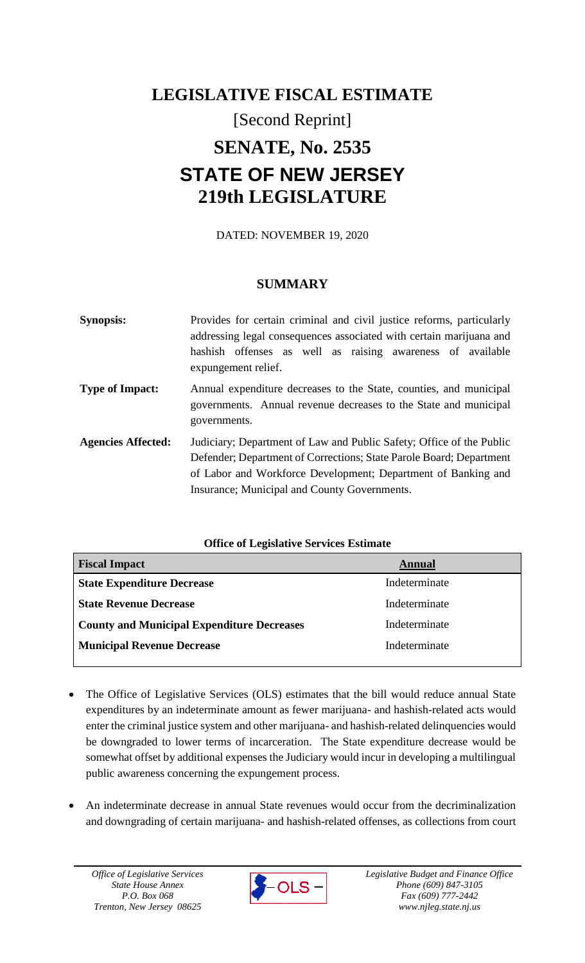# **LEGISLATIVE FISCAL ESTIMATE** [Second Reprint] **SENATE, No. 2535 STATE OF NEW JERSEY 219th LEGISLATURE**

DATED: NOVEMBER 19, 2020

# **SUMMARY**

| <b>Synopsis:</b>          | Provides for certain criminal and civil justice reforms, particularly<br>addressing legal consequences associated with certain marijuana and<br>hashish offenses as well as raising awareness of available<br>expungement relief.                            |
|---------------------------|--------------------------------------------------------------------------------------------------------------------------------------------------------------------------------------------------------------------------------------------------------------|
| <b>Type of Impact:</b>    | Annual expenditure decreases to the State, counties, and municipal<br>governments. Annual revenue decreases to the State and municipal<br>governments.                                                                                                       |
| <b>Agencies Affected:</b> | Judiciary; Department of Law and Public Safety; Office of the Public<br>Defender; Department of Corrections; State Parole Board; Department<br>of Labor and Workforce Development; Department of Banking and<br>Insurance; Municipal and County Governments. |

## **Office of Legislative Services Estimate**

| <b>Fiscal Impact</b>                              | Annual        |
|---------------------------------------------------|---------------|
| <b>State Expenditure Decrease</b>                 | Indeterminate |
| <b>State Revenue Decrease</b>                     | Indeterminate |
| <b>County and Municipal Expenditure Decreases</b> | Indeterminate |
| <b>Municipal Revenue Decrease</b>                 | Indeterminate |
|                                                   |               |

- The Office of Legislative Services (OLS) estimates that the bill would reduce annual State expenditures by an indeterminate amount as fewer marijuana- and hashish-related acts would enter the criminal justice system and other marijuana- and hashish-related delinquencies would be downgraded to lower terms of incarceration. The State expenditure decrease would be somewhat offset by additional expenses the Judiciary would incur in developing a multilingual public awareness concerning the expungement process.
- An indeterminate decrease in annual State revenues would occur from the decriminalization and downgrading of certain marijuana- and hashish-related offenses, as collections from court

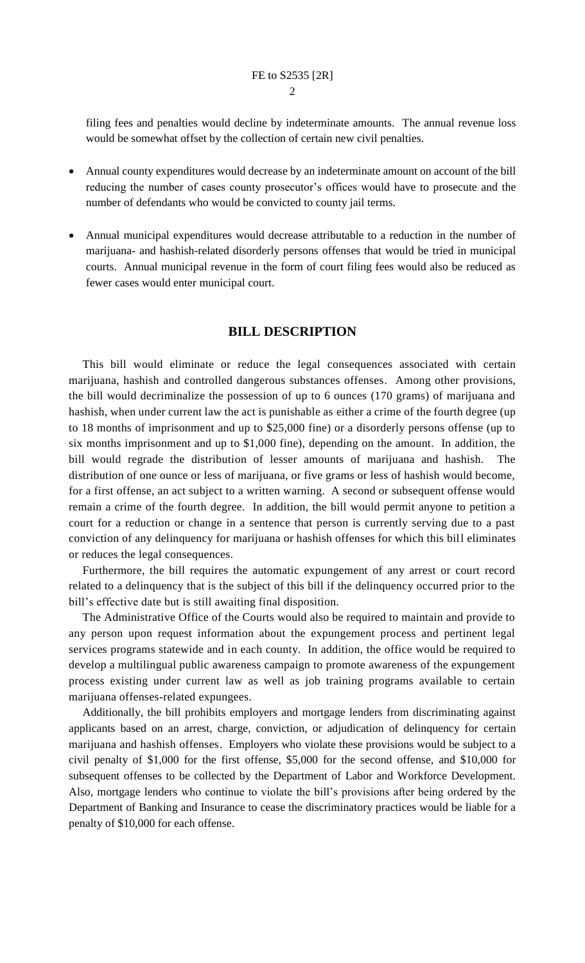filing fees and penalties would decline by indeterminate amounts. The annual revenue loss would be somewhat offset by the collection of certain new civil penalties.

- Annual county expenditures would decrease by an indeterminate amount on account of the bill reducing the number of cases county prosecutor's offices would have to prosecute and the number of defendants who would be convicted to county jail terms.
- Annual municipal expenditures would decrease attributable to a reduction in the number of marijuana- and hashish-related disorderly persons offenses that would be tried in municipal courts. Annual municipal revenue in the form of court filing fees would also be reduced as fewer cases would enter municipal court.

## **BILL DESCRIPTION**

This bill would eliminate or reduce the legal consequences associated with certain marijuana, hashish and controlled dangerous substances offenses. Among other provisions, the bill would decriminalize the possession of up to 6 ounces (170 grams) of marijuana and hashish, when under current law the act is punishable as either a crime of the fourth degree (up to 18 months of imprisonment and up to \$25,000 fine) or a disorderly persons offense (up to six months imprisonment and up to \$1,000 fine), depending on the amount. In addition, the bill would regrade the distribution of lesser amounts of marijuana and hashish. The distribution of one ounce or less of marijuana, or five grams or less of hashish would become, for a first offense, an act subject to a written warning. A second or subsequent offense would remain a crime of the fourth degree. In addition, the bill would permit anyone to petition a court for a reduction or change in a sentence that person is currently serving due to a past conviction of any delinquency for marijuana or hashish offenses for which this bill eliminates or reduces the legal consequences.

Furthermore, the bill requires the automatic expungement of any arrest or court record related to a delinquency that is the subject of this bill if the delinquency occurred prior to the bill's effective date but is still awaiting final disposition.

The Administrative Office of the Courts would also be required to maintain and provide to any person upon request information about the expungement process and pertinent legal services programs statewide and in each county. In addition, the office would be required to develop a multilingual public awareness campaign to promote awareness of the expungement process existing under current law as well as job training programs available to certain marijuana offenses-related expungees.

Additionally, the bill prohibits employers and mortgage lenders from discriminating against applicants based on an arrest, charge, conviction, or adjudication of delinquency for certain marijuana and hashish offenses. Employers who violate these provisions would be subject to a civil penalty of \$1,000 for the first offense, \$5,000 for the second offense, and \$10,000 for subsequent offenses to be collected by the Department of Labor and Workforce Development. Also, mortgage lenders who continue to violate the bill's provisions after being ordered by the Department of Banking and Insurance to cease the discriminatory practices would be liable for a penalty of \$10,000 for each offense.